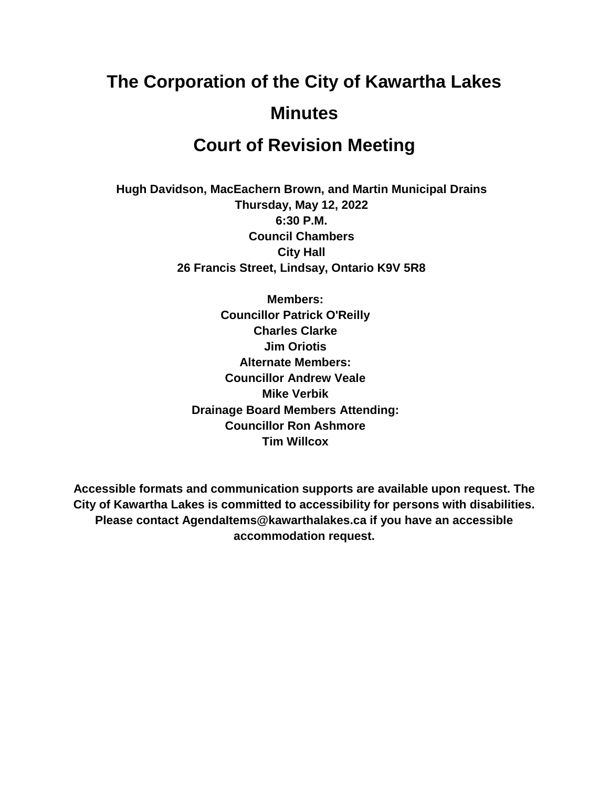# **The Corporation of the City of Kawartha Lakes Minutes**

# **Court of Revision Meeting**

**Hugh Davidson, MacEachern Brown, and Martin Municipal Drains Thursday, May 12, 2022 6:30 P.M. Council Chambers City Hall 26 Francis Street, Lindsay, Ontario K9V 5R8**

> **Members: Councillor Patrick O'Reilly Charles Clarke Jim Oriotis Alternate Members: Councillor Andrew Veale Mike Verbik Drainage Board Members Attending: Councillor Ron Ashmore Tim Willcox**

**Accessible formats and communication supports are available upon request. The City of Kawartha Lakes is committed to accessibility for persons with disabilities. Please contact AgendaItems@kawarthalakes.ca if you have an accessible accommodation request.**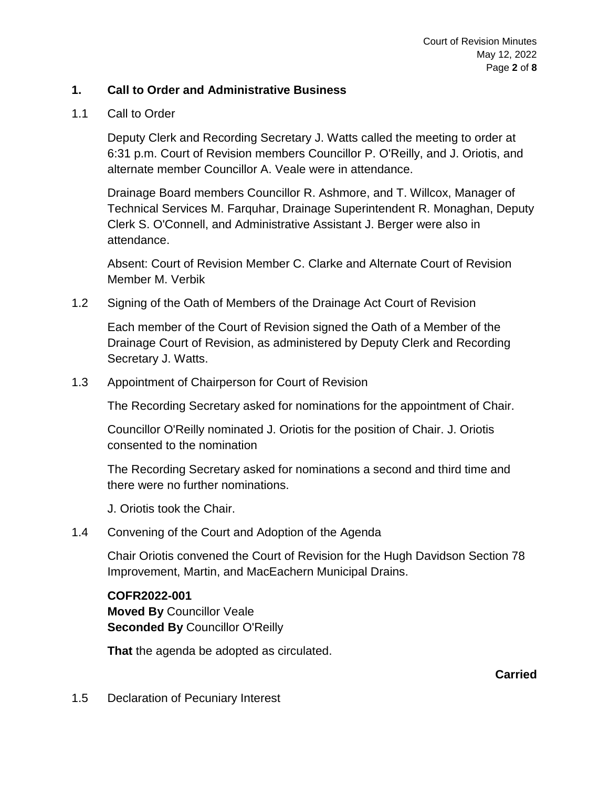#### **1. Call to Order and Administrative Business**

#### 1.1 Call to Order

Deputy Clerk and Recording Secretary J. Watts called the meeting to order at 6:31 p.m. Court of Revision members Councillor P. O'Reilly, and J. Oriotis, and alternate member Councillor A. Veale were in attendance.

Drainage Board members Councillor R. Ashmore, and T. Willcox, Manager of Technical Services M. Farquhar, Drainage Superintendent R. Monaghan, Deputy Clerk S. O'Connell, and Administrative Assistant J. Berger were also in attendance.

Absent: Court of Revision Member C. Clarke and Alternate Court of Revision Member M. Verbik

1.2 Signing of the Oath of Members of the Drainage Act Court of Revision

Each member of the Court of Revision signed the Oath of a Member of the Drainage Court of Revision, as administered by Deputy Clerk and Recording Secretary J. Watts.

1.3 Appointment of Chairperson for Court of Revision

The Recording Secretary asked for nominations for the appointment of Chair.

Councillor O'Reilly nominated J. Oriotis for the position of Chair. J. Oriotis consented to the nomination

The Recording Secretary asked for nominations a second and third time and there were no further nominations.

- J. Oriotis took the Chair.
- 1.4 Convening of the Court and Adoption of the Agenda

Chair Oriotis convened the Court of Revision for the Hugh Davidson Section 78 Improvement, Martin, and MacEachern Municipal Drains.

# **COFR2022-001**

**Moved By** Councillor Veale **Seconded By** Councillor O'Reilly

**That** the agenda be adopted as circulated.

**Carried**

1.5 Declaration of Pecuniary Interest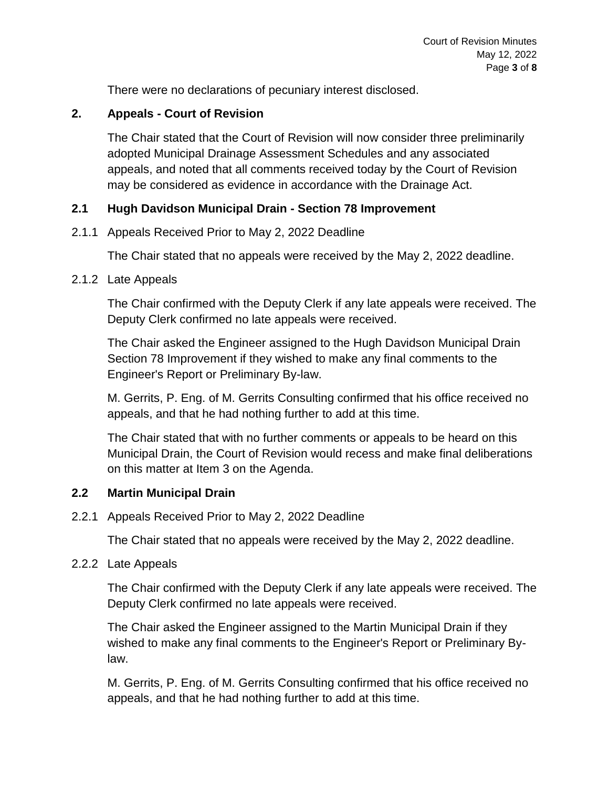There were no declarations of pecuniary interest disclosed.

#### **2. Appeals - Court of Revision**

The Chair stated that the Court of Revision will now consider three preliminarily adopted Municipal Drainage Assessment Schedules and any associated appeals, and noted that all comments received today by the Court of Revision may be considered as evidence in accordance with the Drainage Act.

# **2.1 Hugh Davidson Municipal Drain - Section 78 Improvement**

2.1.1 Appeals Received Prior to May 2, 2022 Deadline

The Chair stated that no appeals were received by the May 2, 2022 deadline.

#### 2.1.2 Late Appeals

The Chair confirmed with the Deputy Clerk if any late appeals were received. The Deputy Clerk confirmed no late appeals were received.

The Chair asked the Engineer assigned to the Hugh Davidson Municipal Drain Section 78 Improvement if they wished to make any final comments to the Engineer's Report or Preliminary By-law.

M. Gerrits, P. Eng. of M. Gerrits Consulting confirmed that his office received no appeals, and that he had nothing further to add at this time.

The Chair stated that with no further comments or appeals to be heard on this Municipal Drain, the Court of Revision would recess and make final deliberations on this matter at Item 3 on the Agenda.

# **2.2 Martin Municipal Drain**

2.2.1 Appeals Received Prior to May 2, 2022 Deadline

The Chair stated that no appeals were received by the May 2, 2022 deadline.

2.2.2 Late Appeals

The Chair confirmed with the Deputy Clerk if any late appeals were received. The Deputy Clerk confirmed no late appeals were received.

The Chair asked the Engineer assigned to the Martin Municipal Drain if they wished to make any final comments to the Engineer's Report or Preliminary Bylaw.

M. Gerrits, P. Eng. of M. Gerrits Consulting confirmed that his office received no appeals, and that he had nothing further to add at this time.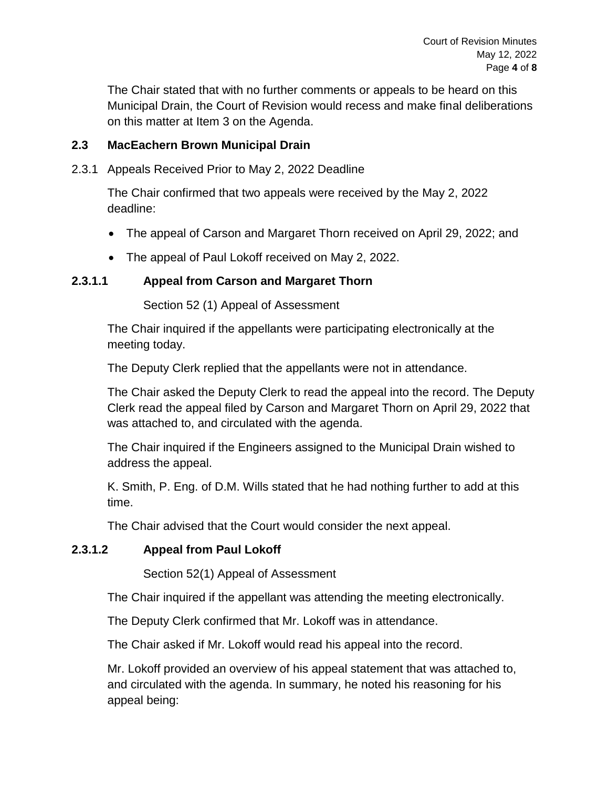The Chair stated that with no further comments or appeals to be heard on this Municipal Drain, the Court of Revision would recess and make final deliberations on this matter at Item 3 on the Agenda.

# **2.3 MacEachern Brown Municipal Drain**

2.3.1 Appeals Received Prior to May 2, 2022 Deadline

The Chair confirmed that two appeals were received by the May 2, 2022 deadline:

- The appeal of Carson and Margaret Thorn received on April 29, 2022; and
- The appeal of Paul Lokoff received on May 2, 2022.

#### **2.3.1.1 Appeal from Carson and Margaret Thorn**

Section 52 (1) Appeal of Assessment

The Chair inquired if the appellants were participating electronically at the meeting today.

The Deputy Clerk replied that the appellants were not in attendance.

The Chair asked the Deputy Clerk to read the appeal into the record. The Deputy Clerk read the appeal filed by Carson and Margaret Thorn on April 29, 2022 that was attached to, and circulated with the agenda.

The Chair inquired if the Engineers assigned to the Municipal Drain wished to address the appeal.

K. Smith, P. Eng. of D.M. Wills stated that he had nothing further to add at this time.

The Chair advised that the Court would consider the next appeal.

# **2.3.1.2 Appeal from Paul Lokoff**

Section 52(1) Appeal of Assessment

The Chair inquired if the appellant was attending the meeting electronically.

The Deputy Clerk confirmed that Mr. Lokoff was in attendance.

The Chair asked if Mr. Lokoff would read his appeal into the record.

Mr. Lokoff provided an overview of his appeal statement that was attached to, and circulated with the agenda. In summary, he noted his reasoning for his appeal being: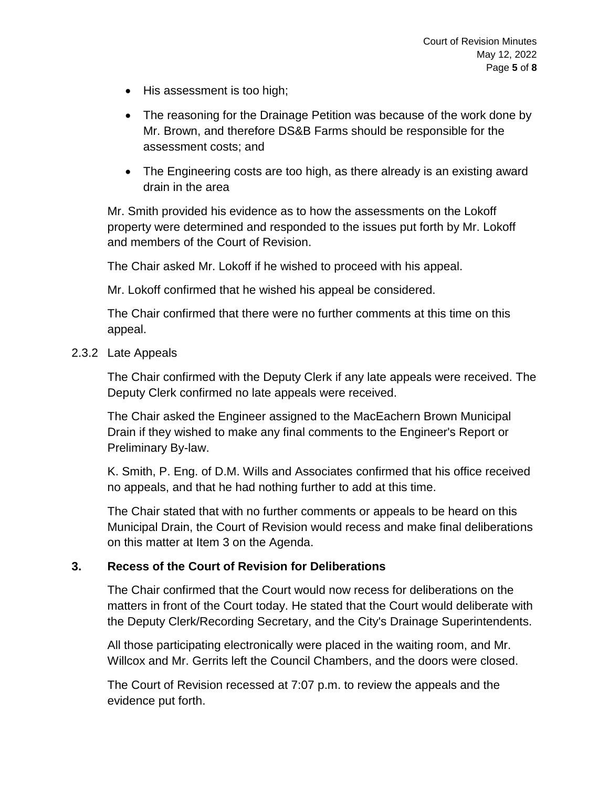- His assessment is too high;
- The reasoning for the Drainage Petition was because of the work done by Mr. Brown, and therefore DS&B Farms should be responsible for the assessment costs; and
- The Engineering costs are too high, as there already is an existing award drain in the area

Mr. Smith provided his evidence as to how the assessments on the Lokoff property were determined and responded to the issues put forth by Mr. Lokoff and members of the Court of Revision.

The Chair asked Mr. Lokoff if he wished to proceed with his appeal.

Mr. Lokoff confirmed that he wished his appeal be considered.

The Chair confirmed that there were no further comments at this time on this appeal.

2.3.2 Late Appeals

The Chair confirmed with the Deputy Clerk if any late appeals were received. The Deputy Clerk confirmed no late appeals were received.

The Chair asked the Engineer assigned to the MacEachern Brown Municipal Drain if they wished to make any final comments to the Engineer's Report or Preliminary By-law.

K. Smith, P. Eng. of D.M. Wills and Associates confirmed that his office received no appeals, and that he had nothing further to add at this time.

The Chair stated that with no further comments or appeals to be heard on this Municipal Drain, the Court of Revision would recess and make final deliberations on this matter at Item 3 on the Agenda.

# **3. Recess of the Court of Revision for Deliberations**

The Chair confirmed that the Court would now recess for deliberations on the matters in front of the Court today. He stated that the Court would deliberate with the Deputy Clerk/Recording Secretary, and the City's Drainage Superintendents.

All those participating electronically were placed in the waiting room, and Mr. Willcox and Mr. Gerrits left the Council Chambers, and the doors were closed.

The Court of Revision recessed at 7:07 p.m. to review the appeals and the evidence put forth.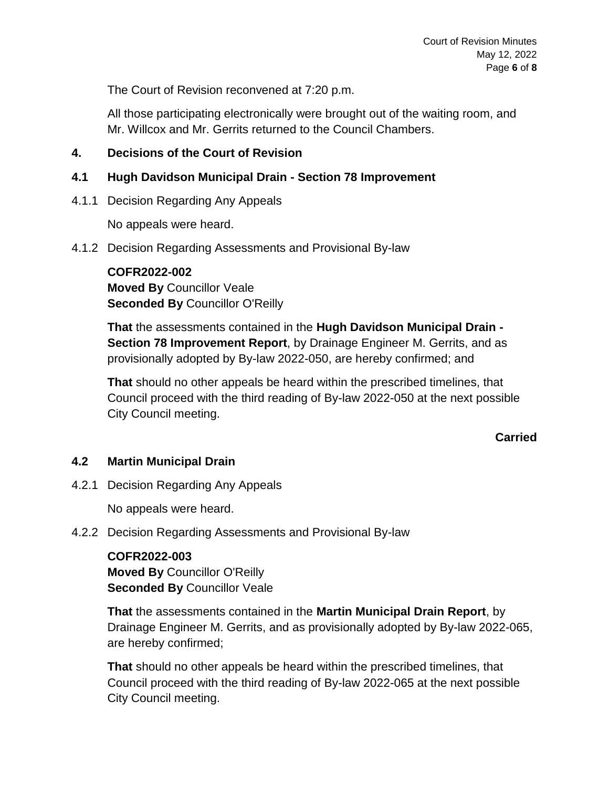The Court of Revision reconvened at 7:20 p.m.

All those participating electronically were brought out of the waiting room, and Mr. Willcox and Mr. Gerrits returned to the Council Chambers.

# **4. Decisions of the Court of Revision**

# **4.1 Hugh Davidson Municipal Drain - Section 78 Improvement**

4.1.1 Decision Regarding Any Appeals

No appeals were heard.

4.1.2 Decision Regarding Assessments and Provisional By-law

# **COFR2022-002 Moved By** Councillor Veale **Seconded By** Councillor O'Reilly

**That** the assessments contained in the **Hugh Davidson Municipal Drain - Section 78 Improvement Report**, by Drainage Engineer M. Gerrits, and as provisionally adopted by By-law 2022-050, are hereby confirmed; and

**That** should no other appeals be heard within the prescribed timelines, that Council proceed with the third reading of By-law 2022-050 at the next possible City Council meeting.

# **Carried**

# **4.2 Martin Municipal Drain**

4.2.1 Decision Regarding Any Appeals

No appeals were heard.

4.2.2 Decision Regarding Assessments and Provisional By-law

# **COFR2022-003 Moved By** Councillor O'Reilly

**Seconded By** Councillor Veale

**That** the assessments contained in the **Martin Municipal Drain Report**, by Drainage Engineer M. Gerrits, and as provisionally adopted by By-law 2022-065, are hereby confirmed;

**That** should no other appeals be heard within the prescribed timelines, that Council proceed with the third reading of By-law 2022-065 at the next possible City Council meeting.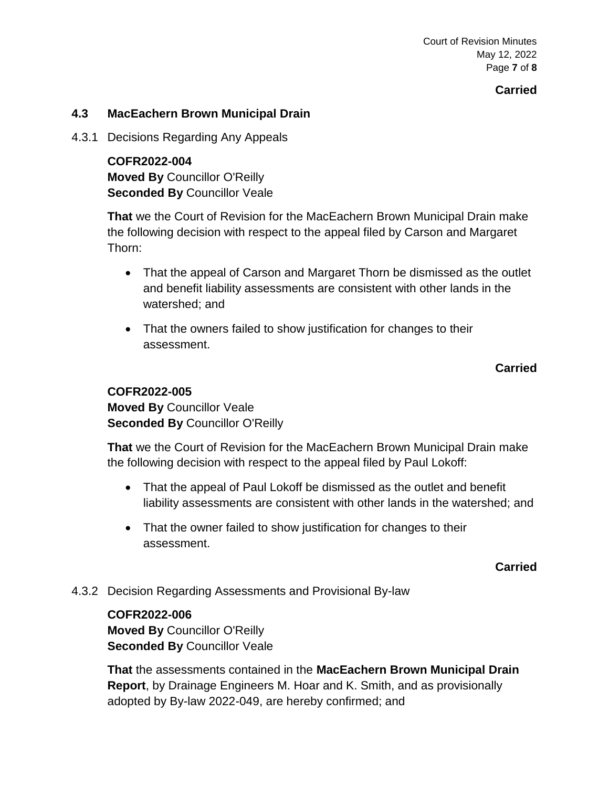Court of Revision Minutes May 12, 2022 Page **7** of **8**

#### **Carried**

#### **4.3 MacEachern Brown Municipal Drain**

#### 4.3.1 Decisions Regarding Any Appeals

**COFR2022-004 Moved By** Councillor O'Reilly **Seconded By** Councillor Veale

**That** we the Court of Revision for the MacEachern Brown Municipal Drain make the following decision with respect to the appeal filed by Carson and Margaret Thorn:

- That the appeal of Carson and Margaret Thorn be dismissed as the outlet and benefit liability assessments are consistent with other lands in the watershed; and
- That the owners failed to show justification for changes to their assessment.

#### **Carried**

#### **COFR2022-005**

**Moved By** Councillor Veale **Seconded By** Councillor O'Reilly

**That** we the Court of Revision for the MacEachern Brown Municipal Drain make the following decision with respect to the appeal filed by Paul Lokoff:

- That the appeal of Paul Lokoff be dismissed as the outlet and benefit liability assessments are consistent with other lands in the watershed; and
- That the owner failed to show justification for changes to their assessment.

#### **Carried**

4.3.2 Decision Regarding Assessments and Provisional By-law

**COFR2022-006 Moved By** Councillor O'Reilly **Seconded By** Councillor Veale

**That** the assessments contained in the **MacEachern Brown Municipal Drain Report**, by Drainage Engineers M. Hoar and K. Smith, and as provisionally adopted by By-law 2022-049, are hereby confirmed; and